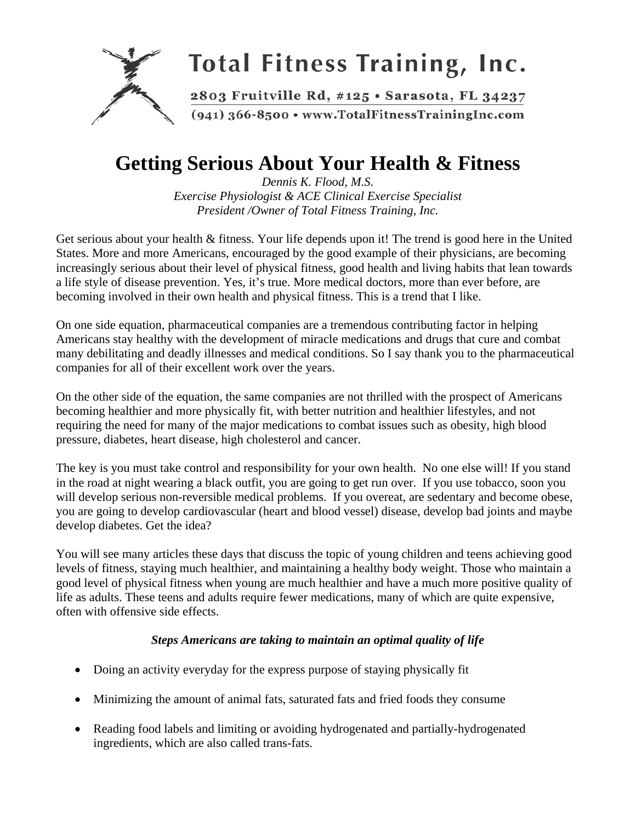

## **Getting Serious About Your Health & Fitness**

*Dennis K. Flood, M.S. Exercise Physiologist & ACE Clinical Exercise Specialist President /Owner of Total Fitness Training, Inc.* 

Get serious about your health & fitness. Your life depends upon it! The trend is good here in the United States. More and more Americans, encouraged by the good example of their physicians, are becoming increasingly serious about their level of physical fitness, good health and living habits that lean towards a life style of disease prevention. Yes, it's true. More medical doctors, more than ever before, are becoming involved in their own health and physical fitness. This is a trend that I like.

On one side equation, pharmaceutical companies are a tremendous contributing factor in helping Americans stay healthy with the development of miracle medications and drugs that cure and combat many debilitating and deadly illnesses and medical conditions. So I say thank you to the pharmaceutical companies for all of their excellent work over the years.

On the other side of the equation, the same companies are not thrilled with the prospect of Americans becoming healthier and more physically fit, with better nutrition and healthier lifestyles, and not requiring the need for many of the major medications to combat issues such as obesity, high blood pressure, diabetes, heart disease, high cholesterol and cancer.

The key is you must take control and responsibility for your own health. No one else will! If you stand in the road at night wearing a black outfit, you are going to get run over. If you use tobacco, soon you will develop serious non-reversible medical problems. If you overeat, are sedentary and become obese, you are going to develop cardiovascular (heart and blood vessel) disease, develop bad joints and maybe develop diabetes. Get the idea?

You will see many articles these days that discuss the topic of young children and teens achieving good levels of fitness, staying much healthier, and maintaining a healthy body weight. Those who maintain a good level of physical fitness when young are much healthier and have a much more positive quality of life as adults. These teens and adults require fewer medications, many of which are quite expensive, often with offensive side effects.

## *Steps Americans are taking to maintain an optimal quality of life*

- Doing an activity everyday for the express purpose of staying physically fit
- Minimizing the amount of animal fats, saturated fats and fried foods they consume
- Reading food labels and limiting or avoiding hydrogenated and partially-hydrogenated ingredients, which are also called trans-fats.